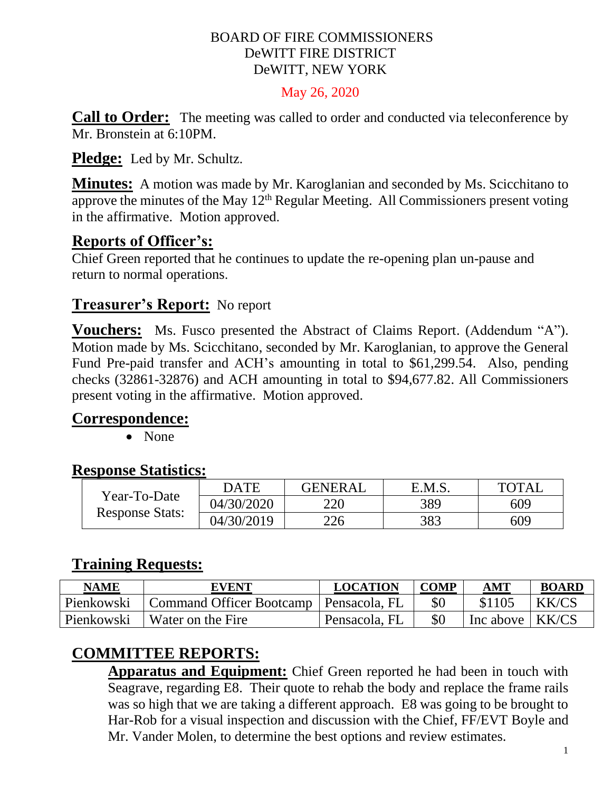#### BOARD OF FIRE COMMISSIONERS DeWITT FIRE DISTRICT DeWITT, NEW YORK

May 26, 2020

**Call to Order:** The meeting was called to order and conducted via teleconference by Mr. Bronstein at 6:10PM.

**Pledge:** Led by Mr. Schultz.

**Minutes:** A motion was made by Mr. Karoglanian and seconded by Ms. Scicchitano to approve the minutes of the May  $12<sup>th</sup>$  Regular Meeting. All Commissioners present voting in the affirmative. Motion approved.

# **Reports of Officer's:**

Chief Green reported that he continues to update the re-opening plan un-pause and return to normal operations.

# **Treasurer's Report:** No report

**Vouchers:** Ms. Fusco presented the Abstract of Claims Report. (Addendum "A"). Motion made by Ms. Scicchitano, seconded by Mr. Karoglanian, to approve the General Fund Pre-paid transfer and ACH's amounting in total to \$61,299.54. Also, pending checks (32861-32876) and ACH amounting in total to \$94,677.82. All Commissioners present voting in the affirmative. Motion approved.

# **Correspondence:**

• None

# **Response Statistics:**

| Year-To-Date<br><b>Response Stats:</b> | DATE       | <b>GENERAL</b> | E.M.S. | <b>TOTAL</b> |
|----------------------------------------|------------|----------------|--------|--------------|
|                                        | 04/30/2020 | 220            | 389    | 609          |
|                                        | 04/30/2019 | 226            | 383    | 609          |

# **Training Requests:**

| <b>NAME</b> | <b>EVENT</b>                             | <b>LOCATION</b> | <b>COMP</b> | AMT       | <b>BOARD</b> |
|-------------|------------------------------------------|-----------------|-------------|-----------|--------------|
| Pienkowski  | Command Officer Bootcamp   Pensacola, FL |                 |             | \$1105    | KK/CS        |
| Pienkowski  | Water on the Fire                        | Pensacola, FL   |             | Inc above | KK/CS        |

# **COMMITTEE REPORTS:**

**Apparatus and Equipment:** Chief Green reported he had been in touch with Seagrave, regarding E8. Their quote to rehab the body and replace the frame rails was so high that we are taking a different approach. E8 was going to be brought to Har-Rob for a visual inspection and discussion with the Chief, FF/EVT Boyle and Mr. Vander Molen, to determine the best options and review estimates.